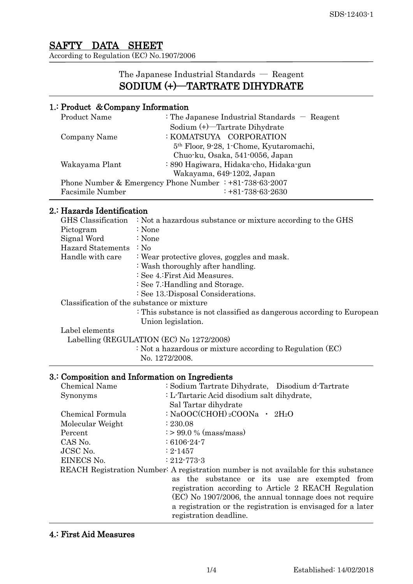## SAFTY DATA SHEET According to Regulation (EC) No.1907/2006

# The Japanese Industrial Standards ― Reagent SODIUM (+)―TARTRATE DIHYDRATE

## 1.: Product &Company Information

| <b>Product Name</b>                                               | : The Japanese Industrial Standards $-$ Reagent     |  |
|-------------------------------------------------------------------|-----------------------------------------------------|--|
|                                                                   | Sodium (+)—Tartrate Dihydrate                       |  |
| Company Name                                                      | : KOMATSUYA CORPORATION                             |  |
|                                                                   | 5 <sup>th</sup> Floor, 9-28, 1-Chome, Kyutaromachi, |  |
|                                                                   | Chuo-ku, Osaka, 541-0056, Japan                     |  |
| Wakayama Plant                                                    | : 890 Hagiwara, Hidaka-cho, Hidaka-gun              |  |
| Wakayama, 649-1202, Japan                                         |                                                     |  |
| Phone Number & Emergency Phone Number $\div 81 - 738 - 63 - 2007$ |                                                     |  |
| Facsimile Number                                                  | $\div$ +81-738-63-2630                              |  |

## 2.: Hazards Identification

|                                          | GHS Classification              | : Not a hazardous substance or mixture according to the GHS           |  |
|------------------------------------------|---------------------------------|-----------------------------------------------------------------------|--|
|                                          | Pictogram                       | : None                                                                |  |
|                                          | Signal Word                     | : None                                                                |  |
|                                          | Hazard Statements : No          |                                                                       |  |
|                                          | Handle with care                | : Wear protective gloves, goggles and mask.                           |  |
|                                          |                                 | : Wash thoroughly after handling.                                     |  |
|                                          |                                 | : See 4.: First Aid Measures.                                         |  |
|                                          | : See 7.: Handling and Storage. |                                                                       |  |
|                                          |                                 | : See 13. Disposal Considerations.                                    |  |
|                                          |                                 | Classification of the substance or mixture                            |  |
|                                          |                                 | : This substance is not classified as dangerous according to European |  |
|                                          |                                 | Union legislation.                                                    |  |
|                                          | Label elements                  |                                                                       |  |
| Labelling (REGULATION (EC) No 1272/2008) |                                 |                                                                       |  |
|                                          |                                 | $\therefore$ Not a hazardous or mixture according to Regulation (EC)  |  |
|                                          |                                 | No. 1272/2008.                                                        |  |
|                                          |                                 |                                                                       |  |

# 3.: Composition and Information on Ingredients

| Chemical Name                                                                        | : Sodium Tartrate Dihydrate, Disodium d-Tartrate            |  |  |
|--------------------------------------------------------------------------------------|-------------------------------------------------------------|--|--|
| Synonyms                                                                             | : L-Tartaric Acid disodium salt dihydrate,                  |  |  |
|                                                                                      | Sal Tartar dihydrate                                        |  |  |
| Chemical Formula                                                                     | : NaOOC(CHOH) $_2$ COONa · 2H $_2$ O                        |  |  |
| Molecular Weight                                                                     | : 230.08                                                    |  |  |
| Percent                                                                              | $\approx 99.0 \%$ (mass/mass)                               |  |  |
| CAS No.                                                                              | $:6106-24-7$                                                |  |  |
| JCSC No.                                                                             | $: 2 - 1457$                                                |  |  |
| EINECS No.                                                                           | $: 212 - 773 - 3$                                           |  |  |
| REACH Registration Number: A registration number is not available for this substance |                                                             |  |  |
|                                                                                      | as the substance or its use are exempted from               |  |  |
|                                                                                      | registration according to Article 2 REACH Regulation        |  |  |
|                                                                                      | (EC) No 1907/2006, the annual tonnage does not require      |  |  |
|                                                                                      | a registration or the registration is envisaged for a later |  |  |
|                                                                                      | registration deadline.                                      |  |  |

## 4.: First Aid Measures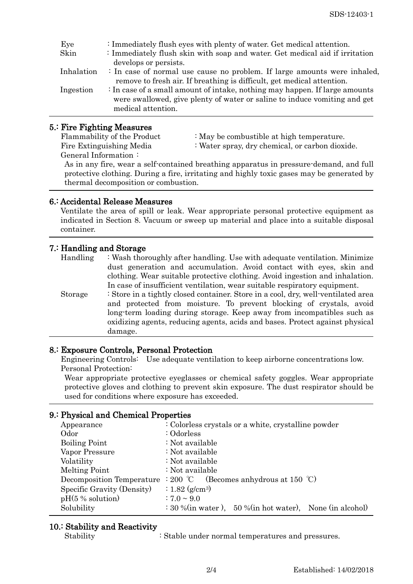| Eye        | : Immediately flush eyes with plenty of water. Get medical attention.       |  |  |
|------------|-----------------------------------------------------------------------------|--|--|
| Skin       | : Immediately flush skin with soap and water. Get medical aid if irritation |  |  |
|            | develops or persists.                                                       |  |  |
| Inhalation | : In case of normal use cause no problem. If large amounts were inhaled,    |  |  |
|            | remove to fresh air. If breathing is difficult, get medical attention.      |  |  |
| Ingestion  | : In case of a small amount of intake, nothing may happen. If large amounts |  |  |
|            | were swallowed, give plenty of water or saline to induce vomiting and get   |  |  |
|            | medical attention.                                                          |  |  |
|            |                                                                             |  |  |

## 5.: Fire Fighting Measures

General Information :

- Flammability of the Product : May be combustible at high temperature.
- Fire Extinguishing Media : Water spray, dry chemical, or carbon dioxide.

As in any fire, wear a self-contained breathing apparatus in pressure-demand, and full protective clothing. During a fire, irritating and highly toxic gases may be generated by thermal decomposition or combustion.

### 6.: Accidental Release Measures

Ventilate the area of spill or leak. Wear appropriate personal protective equipment as indicated in Section 8. Vacuum or sweep up material and place into a suitable disposal container.

### 7.: Handling and Storage

| Handling | : Wash thoroughly after handling. Use with adequate ventilation. Minimize         |
|----------|-----------------------------------------------------------------------------------|
|          | dust generation and accumulation. Avoid contact with eyes, skin and               |
|          | clothing. Wear suitable protective clothing. Avoid ingestion and inhalation.      |
|          | In case of insufficient ventilation, wear suitable respiratory equipment.         |
| Storage  | : Store in a tightly closed container. Store in a cool, dry, well-ventilated area |
|          | and protected from moisture. To prevent blocking of crystals, avoid               |
|          | long term loading during storage. Keep away from incompatibles such as            |
|          | oxidizing agents, reducing agents, acids and bases. Protect against physical      |
|          | damage.                                                                           |

### 8.: Exposure Controls, Personal Protection

 Engineering Controls: Use adequate ventilation to keep airborne concentrations low. Personal Protection:

Wear appropriate protective eyeglasses or chemical safety goggles. Wear appropriate protective gloves and clothing to prevent skin exposure. The dust respirator should be used for conditions where exposure has exceeded.

### 9.: Physical and Chemical Properties

| Appearance                 | : Colorless crystals or a white, crystalline powder                  |
|----------------------------|----------------------------------------------------------------------|
| Odor                       | : Odorless                                                           |
| <b>Boiling Point</b>       | : Not available                                                      |
| Vapor Pressure             | : Not available                                                      |
| Volatility                 | : Not available                                                      |
| Melting Point              | : Not available                                                      |
| Decomposition Temperature  | : 200 °C (Becomes anhydrous at 150 °C)                               |
| Specific Gravity (Density) | $: 1.82 \, (\text{g/cm}^3)$                                          |
| $pH(5\%$ solution)         | $: 7.0 \sim 9.0$                                                     |
| Solubility                 | $\therefore$ 30 % (in water), 50 % (in hot water), None (in alcohol) |
|                            |                                                                      |

### 10.: Stability and Reactivity

Stability : Stable under normal temperatures and pressures.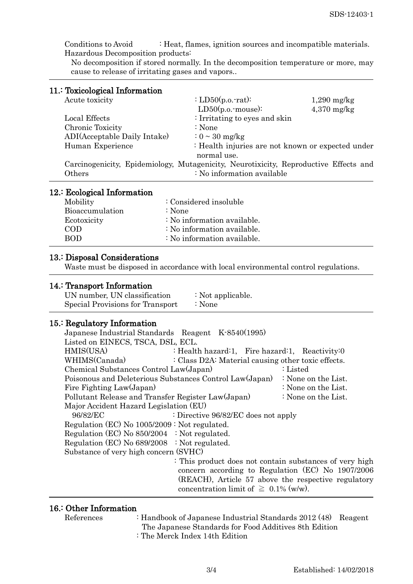Conditions to Avoid : Heat, flames, ignition sources and incompatible materials. Hazardous Decomposition products:

No decomposition if stored normally. In the decomposition temperature or more, may cause to release of irritating gases and vapors..

## 11.: Toxicological Information

| 10210010001001111101110010111                                                        |                                                   |               |
|--------------------------------------------------------------------------------------|---------------------------------------------------|---------------|
| Acute toxicity                                                                       | : $LD50(p.o. rat)$ :                              | $1,290$ mg/kg |
|                                                                                      | $LD50(p.o.\mbox{-mouse})$ :                       | $4,370$ mg/kg |
| Local Effects                                                                        | : Irritating to eyes and skin                     |               |
| Chronic Toxicity                                                                     | : None                                            |               |
| ADI(Acceptable Daily Intake)                                                         | $\approx 0 \sim 30$ mg/kg                         |               |
| Human Experience                                                                     | : Health injuries are not known or expected under |               |
|                                                                                      | normal use.                                       |               |
| Carcinogenicity, Epidemiology, Mutagenicity, Neurotixicity, Reproductive Effects and |                                                   |               |
| Others                                                                               | : No information available                        |               |
|                                                                                      |                                                   |               |

#### 12.: Ecological Information

| : Considered insoluble      |
|-----------------------------|
| : None                      |
| : No information available. |
| : No information available. |
| : No information available. |
|                             |

#### 13.: Disposal Considerations

Waste must be disposed in accordance with local environmental control regulations.

### 14.: Transport Information

| UN number, UN classification     | : Not applicable. |
|----------------------------------|-------------------|
| Special Provisions for Transport | $\therefore$ None |

### 15.: Regulatory Information

| Japanese Industrial Standards Reagent K-8540(1995)      |                                                         |                                                     |
|---------------------------------------------------------|---------------------------------------------------------|-----------------------------------------------------|
| Listed on EINECS, TSCA, DSL, ECL.                       |                                                         |                                                     |
| HMIS(USA)                                               | : Health hazard:1, Fire hazard:1, Reactivity:0          |                                                     |
| WHIMS(Canada)                                           | : Class D2A: Material causing other toxic effects.      |                                                     |
| Chemical Substances Control Law(Japan)                  |                                                         | : Listed                                            |
| Poisonous and Deleterious Substances Control Law(Japan) |                                                         | : None on the List.                                 |
| Fire Fighting Law(Japan)                                |                                                         | : None on the List.                                 |
| Pollutant Release and Transfer Register Law(Japan)      |                                                         | : None on the List.                                 |
| Major Accident Hazard Legislation (EU)                  |                                                         |                                                     |
| 96/82/EC                                                | : Directive 96/82/EC does not apply                     |                                                     |
| Regulation (EC) No 1005/2009: Not regulated.            |                                                         |                                                     |
| Regulation (EC) No $850/2004$ : Not regulated.          |                                                         |                                                     |
| Regulation (EC) No $689/2008$ : Not regulated.          |                                                         |                                                     |
| Substance of very high concern (SVHC)                   |                                                         |                                                     |
|                                                         | : This product does not contain substances of very high |                                                     |
|                                                         |                                                         | concern according to Regulation (EC) No 1907/2006   |
|                                                         |                                                         | (REACH), Article 57 above the respective regulatory |
|                                                         | concentration limit of $\geq 0.1\%$ (w/w).              |                                                     |

## 16.: Other Information

- References : Handbook of Japanese Industrial Standards 2012 (48) Reagent The Japanese Standards for Food Additives 8th Edition
	- : The Merck Index 14th Edition